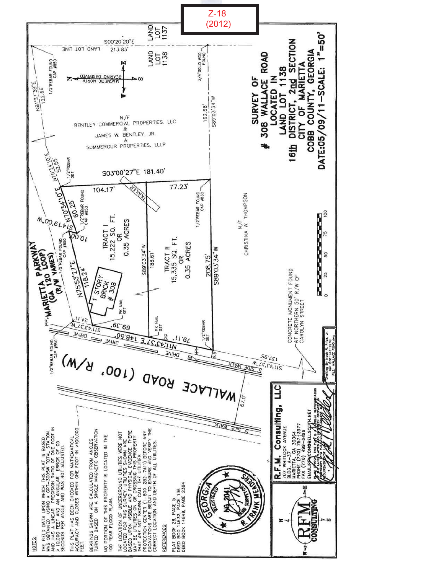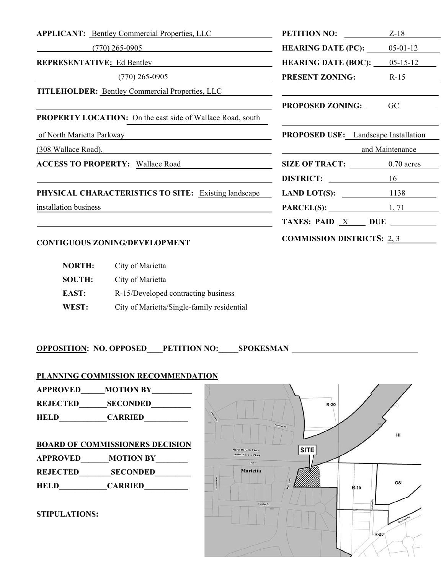| <b>APPLICANT:</b> Bentley Commercial Properties, LLC              | PETITION NO:                                                                                                          | $Z-18$          |
|-------------------------------------------------------------------|-----------------------------------------------------------------------------------------------------------------------|-----------------|
| $(770)$ 265-0905                                                  | <b>HEARING DATE (PC):</b> $05-01-12$                                                                                  |                 |
| REPRESENTATIVE: Ed Bentley <b>Example 2014</b>                    | <b>HEARING DATE (BOC):</b> $05-15-12$                                                                                 |                 |
| $(770)$ 265-0905                                                  | <b>PRESENT ZONING:</b> R-15                                                                                           |                 |
| <b>TITLEHOLDER:</b> Bentley Commercial Properties, LLC            | <u> 1999 - Johann Harry Harry Harry Harry Harry Harry Harry Harry Harry Harry Harry Harry Harry Harry Harry Harry</u> |                 |
|                                                                   | <b>PROPOSED ZONING:</b> GC                                                                                            |                 |
| <b>PROPERTY LOCATION:</b> On the east side of Wallace Road, south |                                                                                                                       |                 |
| of North Marietta Parkway                                         | <b>PROPOSED USE:</b> Landscape Installation                                                                           |                 |
| <u>(308 Wallace Road).</u> <b>Example 2018</b> Mallace Road).     |                                                                                                                       | and Maintenance |
| <b>ACCESS TO PROPERTY:</b> Wallace Road                           | SIZE OF TRACT: 0.70 acres                                                                                             |                 |
|                                                                   | DISTRICT: 16                                                                                                          |                 |
| PHYSICAL CHARACTERISTICS TO SITE: Existing landscape              | LAND LOT(S): $1138$                                                                                                   |                 |
| installation business                                             | $PARCEL(S):$ 1, 71                                                                                                    |                 |
|                                                                   |                                                                                                                       |                 |
| <b>CONTIGUOUS ZONING/DEVELOPMENT</b>                              | <b>COMMISSION DISTRICTS: 2, 3</b>                                                                                     |                 |

# **NORTH:** City of Marietta  **SOUTH:** City of Marietta **EAST:** R-15/Developed contracting business  **WEST:** City of Marietta/Single-family residential

**OPPOSITION: NO. OPPOSED\_\_\_\_PETITION NO:\_\_\_\_\_SPOKESMAN** 

# **PLANNING COMMISSION RECOMMENDATION**

**APPROVED\_\_\_\_\_\_MOTION BY\_\_\_\_\_\_\_\_\_\_**  REJECTED SECONDED **HELD\_\_\_\_\_\_\_\_\_\_\_\_CARRIED\_\_\_\_\_\_\_\_\_\_\_** 

# **BOARD OF COMMISSIONERS DECISION**

**APPROVED\_\_\_\_\_\_\_MOTION BY\_\_\_\_\_\_\_\_ REJECTED\_\_\_\_\_\_\_\_SECONDED\_\_\_\_\_\_\_\_\_** 

**HELD\_\_\_\_\_\_\_\_\_\_\_\_CARRIED\_\_\_\_\_\_\_\_\_\_\_** 

## **STIPULATIONS:**

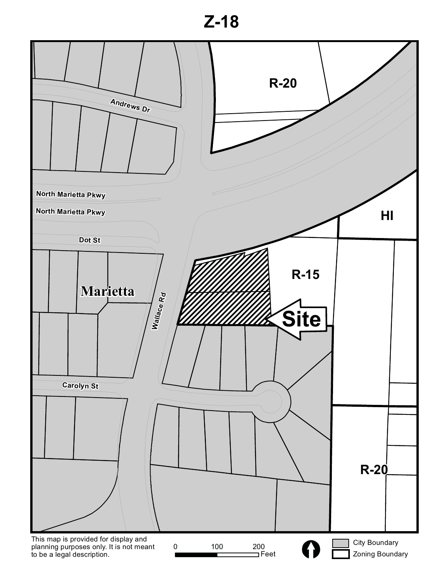**Z-18**

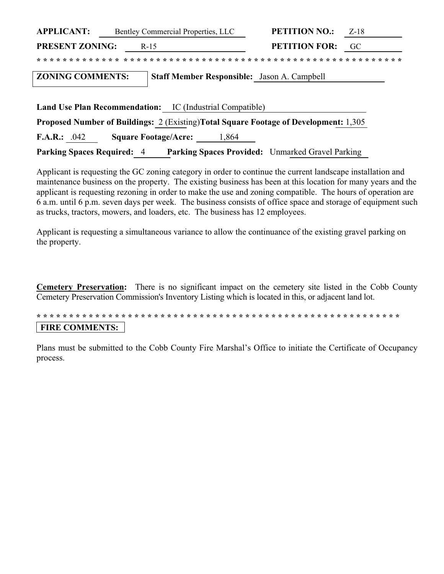| <b>APPLICANT:</b>                                               | Bentley Commercial Properties, LLC |       | <b>PETITION NO.:</b>                                                                        | $Z-18$ |
|-----------------------------------------------------------------|------------------------------------|-------|---------------------------------------------------------------------------------------------|--------|
| <b>PRESENT ZONING:</b>                                          | $R-15$                             |       | <b>PETITION FOR:</b>                                                                        | GC     |
|                                                                 |                                    |       |                                                                                             |        |
| <b>ZONING COMMENTS:</b>                                         |                                    |       | <b>Staff Member Responsible:</b> Jason A. Campbell                                          |        |
| <b>Land Use Plan Recommendation:</b> IC (Industrial Compatible) |                                    |       |                                                                                             |        |
|                                                                 |                                    |       |                                                                                             |        |
|                                                                 |                                    |       | <b>Proposed Number of Buildings:</b> 2 (Existing)Total Square Footage of Development: 1,305 |        |
| <b>F.A.R.:</b><br>.042                                          | <b>Square Footage/Acre:</b>        | 1,864 |                                                                                             |        |

Parking Spaces Required: 4 Parking Spaces Provided: Unmarked Gravel Parking

Applicant is requesting the GC zoning category in order to continue the current landscape installation and maintenance business on the property. The existing business has been at this location for many years and the applicant is requesting rezoning in order to make the use and zoning compatible. The hours of operation are 6 a.m. until 6 p.m. seven days per week. The business consists of office space and storage of equipment such as trucks, tractors, mowers, and loaders, etc. The business has 12 employees.

Applicant is requesting a simultaneous variance to allow the continuance of the existing gravel parking on the property.

**Cemetery Preservation:** There is no significant impact on the cemetery site listed in the Cobb County Cemetery Preservation Commission's Inventory Listing which is located in this, or adjacent land lot.

# **FIRE COMMENTS:**

Plans must be submitted to the Cobb County Fire Marshal's Office to initiate the Certificate of Occupancy process.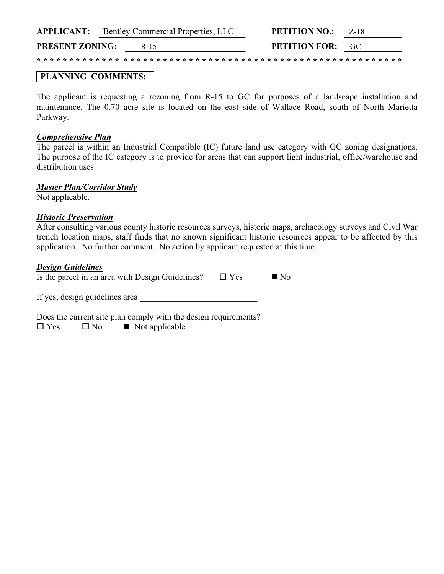|                        | <b>APPLICANT:</b> Bentley Commercial Properties, LLC | <b>PETITION NO.:</b><br>7-18 |
|------------------------|------------------------------------------------------|------------------------------|
| <b>PRESENT ZONING:</b> | R-15                                                 | <b>PETITION FOR:</b> GC      |
|                        |                                                      |                              |

# **PLANNING COMMENTS:**

The applicant is requesting a rezoning from R-15 to GC for purposes of a landscape installation and maintenance. The 0.70 acre site is located on the east side of Wallace Road, south of North Marietta Parkway.

### *Comprehensive Plan*

The parcel is within an Industrial Compatible (IC) future land use category with GC zoning designations. The purpose of the IC category is to provide for areas that can support light industrial, office/warehouse and distribution uses

### *Master Plan/Corridor Study*

Not applicable.

### *Historic Preservation*

After consulting various county historic resources surveys, historic maps, archaeology surveys and Civil War trench location maps, staff finds that no known significant historic resources appear to be affected by this application. No further comment. No action by applicant requested at this time.

### *Design Guidelines*

| Is the parcel in an area with Design Guidelines?                                                                 | $\Box$ Yes | $\blacksquare$ No |
|------------------------------------------------------------------------------------------------------------------|------------|-------------------|
| If yes, design guidelines area                                                                                   |            |                   |
| Does the current site plan comply with the design requirements?<br>$\Box$ Yes<br>$\Box$ No $\Box$ Not applicable |            |                   |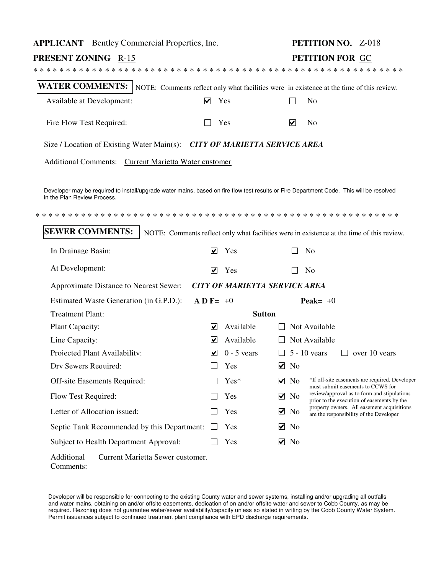| <b>APPLICANT</b> Bentley Commercial Properties, Inc.                                                                                                                    |                                       | PETITION NO. Z-018                                                                                         |
|-------------------------------------------------------------------------------------------------------------------------------------------------------------------------|---------------------------------------|------------------------------------------------------------------------------------------------------------|
| <b>PRESENT ZONING R-15</b>                                                                                                                                              |                                       | PETITION FOR GC                                                                                            |
|                                                                                                                                                                         |                                       |                                                                                                            |
| WATER COMMENTS:   NOTE: Comments reflect only what facilities were in existence at the time of this review.                                                             |                                       |                                                                                                            |
| Available at Development:                                                                                                                                               | $\vee$ Yes                            | N <sub>0</sub>                                                                                             |
| Fire Flow Test Required:                                                                                                                                                | Yes                                   | $\blacktriangledown$<br>N <sub>o</sub>                                                                     |
| Size / Location of Existing Water Main(s): CITY OF MARIETTA SERVICE AREA                                                                                                |                                       |                                                                                                            |
| Additional Comments: Current Marietta Water customer                                                                                                                    |                                       |                                                                                                            |
|                                                                                                                                                                         |                                       |                                                                                                            |
| Developer may be required to install/upgrade water mains, based on fire flow test results or Fire Department Code. This will be resolved<br>in the Plan Review Process. |                                       |                                                                                                            |
|                                                                                                                                                                         |                                       |                                                                                                            |
| <b>SEWER COMMENTS:</b>                                                                                                                                                  |                                       | NOTE: Comments reflect only what facilities were in existence at the time of this review.                  |
| In Drainage Basin:                                                                                                                                                      | $\blacktriangledown$<br>Yes           | N <sub>o</sub>                                                                                             |
| At Development:                                                                                                                                                         | Yes<br>$\blacktriangledown$           | N <sub>o</sub>                                                                                             |
| Approximate Distance to Nearest Sewer: CITY OF MARIETTA SERVICE AREA                                                                                                    |                                       |                                                                                                            |
| Estimated Waste Generation (in G.P.D.):                                                                                                                                 | $\bf{A}$ <b>D</b> F= +0               | Peak= $+0$                                                                                                 |
| <b>Treatment Plant:</b>                                                                                                                                                 |                                       | <b>Sutton</b>                                                                                              |
| Plant Capacity:                                                                                                                                                         | Available<br>V                        | Not Available                                                                                              |
| Line Capacity:                                                                                                                                                          | Available<br>V                        | Not Available                                                                                              |
| Projected Plant Availability:                                                                                                                                           | $0 - 5$ vears<br>$\blacktriangledown$ | $\Box$<br>$5 - 10$ vears<br>$\Box$ over 10 years                                                           |
| Drv Sewers Required:                                                                                                                                                    | Yes                                   | V<br>N <sub>o</sub>                                                                                        |
| Off-site Easements Required:                                                                                                                                            | Yes*                                  | *If off-site easements are required, Developer<br>⊻<br>N <sub>o</sub><br>must submit easements to CCWS for |
| Flow Test Required:                                                                                                                                                     | Yes                                   | review/approval as to form and stipulations<br>⊻<br>No<br>prior to the execution of easements by the       |
| Letter of Allocation issued:                                                                                                                                            | Yes                                   | property owners. All easement acquisitions<br>⊻<br>No<br>are the responsibility of the Developer           |
| Septic Tank Recommended by this Department:                                                                                                                             | Yes                                   | ⊻<br>N <sub>o</sub>                                                                                        |
| Subject to Health Department Approval:                                                                                                                                  | Yes                                   | ⊻<br>No                                                                                                    |
| Additional<br>Current Marietta Sewer customer.<br>Comments:                                                                                                             |                                       |                                                                                                            |

Developer will be responsible for connecting to the existing County water and sewer systems, installing and/or upgrading all outfalls and water mains, obtaining on and/or offsite easements, dedication of on and/or offsite water and sewer to Cobb County, as may be required. Rezoning does not guarantee water/sewer availability/capacity unless so stated in writing by the Cobb County Water System. Permit issuances subject to continued treatment plant compliance with EPD discharge requirements.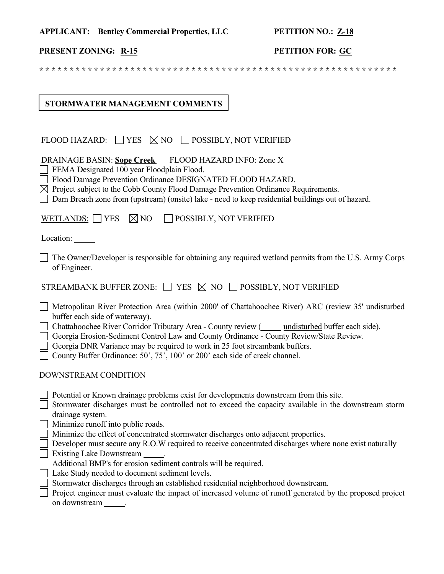|  | <b>APPLICANT:</b> Bentley Commercial Properties, LLC | <b>PETITION NO.: Z-18</b> |
|--|------------------------------------------------------|---------------------------|
|--|------------------------------------------------------|---------------------------|

# **PRESENT ZONING:** <u>R-15</u> **PETITION FOR:** GC

**\* \* \* \* \* \* \* \* \* \* \* \* \* \* \* \* \* \* \* \* \* \* \* \* \* \* \* \* \* \* \* \* \* \* \* \* \* \* \* \* \* \* \* \* \* \* \* \* \* \* \* \* \* \* \* \* \* \* \***

# **STORMWATER MANAGEMENT COMMENTS**

| FLOOD HAZARD: $\Box$ YES $\boxtimes$ NO $\Box$ POSSIBLY, NOT VERIFIED                                                                                                                                                                                                                                                                                                                                                                                                                     |
|-------------------------------------------------------------------------------------------------------------------------------------------------------------------------------------------------------------------------------------------------------------------------------------------------------------------------------------------------------------------------------------------------------------------------------------------------------------------------------------------|
| <b>DRAINAGE BASIN: Sope Creek</b><br>FLOOD HAZARD INFO: Zone X<br>FEMA Designated 100 year Floodplain Flood.<br>Flood Damage Prevention Ordinance DESIGNATED FLOOD HAZARD.<br>$\boxtimes$ Project subject to the Cobb County Flood Damage Prevention Ordinance Requirements.<br>Dam Breach zone from (upstream) (onsite) lake - need to keep residential buildings out of hazard.                                                                                                         |
| $\boxtimes$ NO<br>WETLANDS: $\Box$ YES<br>POSSIBLY, NOT VERIFIED                                                                                                                                                                                                                                                                                                                                                                                                                          |
| Location: ______                                                                                                                                                                                                                                                                                                                                                                                                                                                                          |
| The Owner/Developer is responsible for obtaining any required wetland permits from the U.S. Army Corps<br>of Engineer.                                                                                                                                                                                                                                                                                                                                                                    |
| STREAMBANK BUFFER ZONE: $\Box$ YES $\boxtimes$ NO $\Box$ POSSIBLY, NOT VERIFIED                                                                                                                                                                                                                                                                                                                                                                                                           |
| Metropolitan River Protection Area (within 2000' of Chattahoochee River) ARC (review 35' undisturbed<br>buffer each side of waterway).<br>Chattahoochee River Corridor Tributary Area - County review (Cassettandorf Euclideae).<br>Georgia Erosion-Sediment Control Law and County Ordinance - County Review/State Review.<br>Georgia DNR Variance may be required to work in 25 foot streambank buffers.<br>County Buffer Ordinance: 50', 75', 100' or 200' each side of creek channel. |
| DOWNSTREAM CONDITION                                                                                                                                                                                                                                                                                                                                                                                                                                                                      |
| Potential or Known drainage problems exist for developments downstream from this site.<br>Stormwater discharges must be controlled not to exceed the capacity available in the downstream storm<br>drainage system.<br>Minimize runoff into public roads.<br>Minimize the effect of concentrated stormwater discharges onto adjacent properties.                                                                                                                                          |
| Developer must secure any R.O.W required to receive concentrated discharges where none exist naturally<br><b>Existing Lake Downstream</b><br>Additional BMP's for erosion sediment controls will be required.                                                                                                                                                                                                                                                                             |
| Lake Study needed to document sediment levels.                                                                                                                                                                                                                                                                                                                                                                                                                                            |
| Stormwater discharges through an established residential neighborhood downstream.<br>Project engineer must evaluate the impact of increased volume of runoff generated by the proposed project<br>on downstream<br>$\overline{\phantom{a}}$                                                                                                                                                                                                                                               |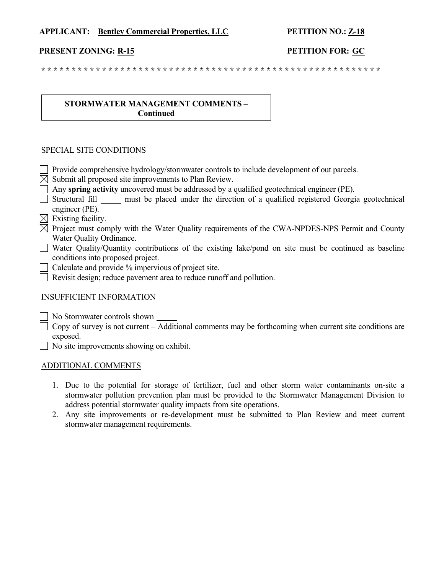### **APPLICANT: Bentley Commercial Properties, LLC PETITION NO.: Z-18**

### **PRESENT ZONING: R-15 PETITION FOR: GC**

 **\* \* \* \* \* \* \* \* \* \* \* \* \* \* \* \* \* \* \* \* \* \* \* \* \* \* \* \* \* \* \* \* \* \* \* \* \* \* \* \* \* \* \* \* \* \* \* \* \* \* \* \* \* \* \* \***

### **STORMWATER MANAGEMENT COMMENTS – Continued**

### SPECIAL SITE CONDITIONS

 Provide comprehensive hydrology/stormwater controls to include development of out parcels.  $\boxtimes$  Submit all proposed site improvements to Plan Review. Any **spring activity** uncovered must be addressed by a qualified geotechnical engineer (PE).  $\Box$  Structural fill must be placed under the direction of a qualified registered Georgia geotechnical engineer (PE).  $\boxtimes$  Existing facility.  $\boxtimes$  Project must comply with the Water Quality requirements of the CWA-NPDES-NPS Permit and County Water Quality Ordinance.  $\Box$  Water Quality/Quantity contributions of the existing lake/pond on site must be continued as baseline conditions into proposed project. Calculate and provide % impervious of project site. Revisit design; reduce pavement area to reduce runoff and pollution.

### INSUFFICIENT INFORMATION

No Stormwater controls shown

 $\Box$  Copy of survey is not current – Additional comments may be forthcoming when current site conditions are exposed.

No site improvements showing on exhibit.

### ADDITIONAL COMMENTS

- 1. Due to the potential for storage of fertilizer, fuel and other storm water contaminants on-site a stormwater pollution prevention plan must be provided to the Stormwater Management Division to address potential stormwater quality impacts from site operations.
- 2. Any site improvements or re-development must be submitted to Plan Review and meet current stormwater management requirements.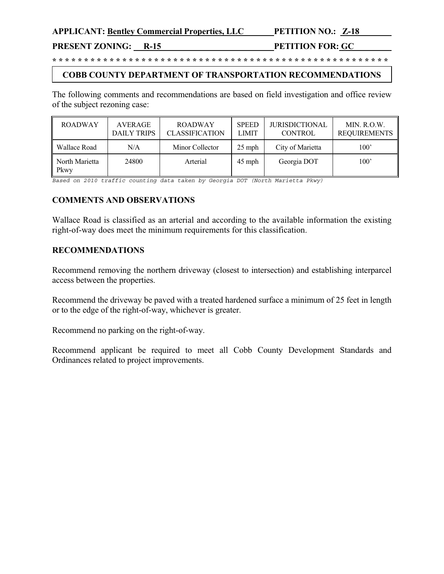**APPLICANT: Bentley Commercial Properties, LLC PETITION NO.: Z-18** 

# **PRESENT ZONING: R-15 PETITION FOR: GC**

**\* \* \* \* \* \* \* \* \* \* \* \* \* \* \* \* \* \* \* \* \* \* \* \* \* \* \* \* \* \* \* \* \* \* \* \* \* \* \* \* \* \* \* \* \* \* \* \* \* \* \* \* \***

# **COBB COUNTY DEPARTMENT OF TRANSPORTATION RECOMMENDATIONS**

The following comments and recommendations are based on field investigation and office review of the subject rezoning case:

| <b>ROADWAY</b>         | AVERAGE<br><b>DAILY TRIPS</b> | <b>ROADWAY</b><br><b>CLASSIFICATION</b> | <b>SPEED</b><br><b>LIMIT</b> | <b>JURISDICTIONAL</b><br><b>CONTROL</b> | MIN. R.O.W.<br><b>REQUIREMENTS</b> |
|------------------------|-------------------------------|-----------------------------------------|------------------------------|-----------------------------------------|------------------------------------|
| Wallace Road           | N/A                           | Minor Collector                         | $25$ mph                     | City of Marietta                        | 100'                               |
| North Marietta<br>Pkwy | 24800                         | Arterial                                | $45$ mph                     | Georgia DOT                             | $100^{\circ}$                      |

*Based on 2010 traffic counting data taken by Georgia DOT (North Marietta Pkwy)* 

## **COMMENTS AND OBSERVATIONS**

Wallace Road is classified as an arterial and according to the available information the existing right-of-way does meet the minimum requirements for this classification.

## **RECOMMENDATIONS**

Recommend removing the northern driveway (closest to intersection) and establishing interparcel access between the properties.

Recommend the driveway be paved with a treated hardened surface a minimum of 25 feet in length or to the edge of the right-of-way, whichever is greater.

Recommend no parking on the right-of-way.

Recommend applicant be required to meet all Cobb County Development Standards and Ordinances related to project improvements.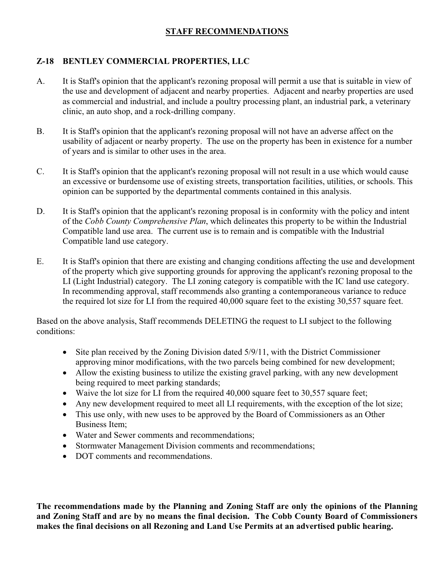# **STAFF RECOMMENDATIONS**

# **Z-18 BENTLEY COMMERCIAL PROPERTIES, LLC**

- A. It is Staff's opinion that the applicant's rezoning proposal will permit a use that is suitable in view of the use and development of adjacent and nearby properties. Adjacent and nearby properties are used as commercial and industrial, and include a poultry processing plant, an industrial park, a veterinary clinic, an auto shop, and a rock-drilling company.
- B. It is Staff's opinion that the applicant's rezoning proposal will not have an adverse affect on the usability of adjacent or nearby property. The use on the property has been in existence for a number of years and is similar to other uses in the area.
- C. It is Staff's opinion that the applicant's rezoning proposal will not result in a use which would cause an excessive or burdensome use of existing streets, transportation facilities, utilities, or schools. This opinion can be supported by the departmental comments contained in this analysis.
- D. It is Staff's opinion that the applicant's rezoning proposal is in conformity with the policy and intent of the *Cobb County Comprehensive Plan*, which delineates this property to be within the Industrial Compatible land use area. The current use is to remain and is compatible with the Industrial Compatible land use category.
- E. It is Staff's opinion that there are existing and changing conditions affecting the use and development of the property which give supporting grounds for approving the applicant's rezoning proposal to the LI (Light Industrial) category. The LI zoning category is compatible with the IC land use category. In recommending approval, staff recommends also granting a contemporaneous variance to reduce the required lot size for LI from the required 40,000 square feet to the existing 30,557 square feet.

Based on the above analysis, Staff recommends DELETING the request to LI subject to the following conditions:

- Site plan received by the Zoning Division dated 5/9/11, with the District Commissioner approving minor modifications, with the two parcels being combined for new development;
- Allow the existing business to utilize the existing gravel parking, with any new development being required to meet parking standards;
- Waive the lot size for LI from the required 40,000 square feet to 30,557 square feet;
- Any new development required to meet all LI requirements, with the exception of the lot size;
- $\bullet$  This use only, with new uses to be approved by the Board of Commissioners as an Other Business Item;
- Water and Sewer comments and recommendations;
- $\bullet$ Stormwater Management Division comments and recommendations;
- DOT comments and recommendations.

**The recommendations made by the Planning and Zoning Staff are only the opinions of the Planning and Zoning Staff and are by no means the final decision. The Cobb County Board of Commissioners makes the final decisions on all Rezoning and Land Use Permits at an advertised public hearing.**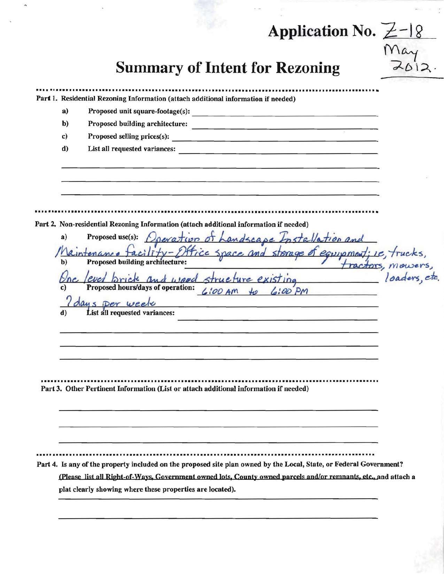# Application No. Z-18

| ,     |
|-------|
| May   |
|       |
| 2012. |
|       |

# **Summary of Intent for Rezoning**

Part 1. Residential Rezoning Information (attach additional information if needed)  $a)$ Proposed unit square-footage(s): Proposed building architecture:  $$  $\mathbf{c}$ Proposed selling prices(s): <u> a sample de la partida del componente por p</u> d) Part 2. Non-residential Rezoning Information (attach additional information if needed) Proposed use(s): Operation of Landscape Installation and  $a)$ cility-Office space and storage of equipment; i.e., trucks, tractors, mowers Proposed building architecture: b) loaders, etc. d wood structure existing Proposed hours/days of operation:  $LiOOAM$  to  $LiOOPM$ I days per week List all requested variances: Part 3. Other Pertinent Information (List or attach additional information if needed) Part 4. Is any of the property included on the proposed site plan owned by the Local, State, or Federal Government? (Please list all Right-of-Ways, Government owned lots, County owned parcels and/or remnants, etc., and attach a plat clearly showing where these properties are located).